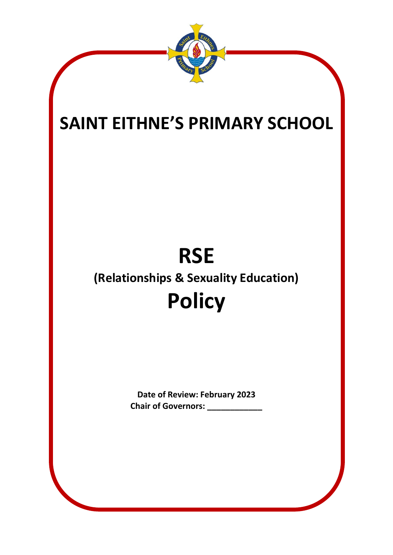

# **SAINT EITHNE'S PRIMARY SCHOOL**

# **RSE (Relationships & Sexuality Education) Policy**

**Date of Review: February 2023 Chair of Governors: \_\_\_\_\_\_\_\_\_\_\_\_**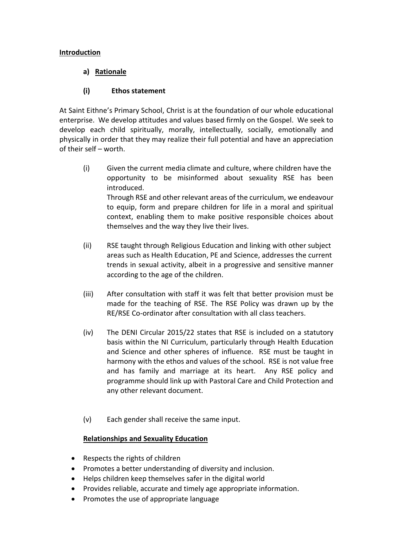# **Introduction**

# **a) Rationale**

# **(i) Ethos statement**

At Saint Eithne's Primary School, Christ is at the foundation of our whole educational enterprise. We develop attitudes and values based firmly on the Gospel. We seek to develop each child spiritually, morally, intellectually, socially, emotionally and physically in order that they may realize their full potential and have an appreciation of their self – worth.

- (i) Given the current media climate and culture, where children have the opportunity to be misinformed about sexuality RSE has been introduced. Through RSE and other relevant areas of the curriculum, we endeavour to equip, form and prepare children for life in a moral and spiritual context, enabling them to make positive responsible choices about themselves and the way they live their lives.
- (ii) RSE taught through Religious Education and linking with other subject areas such as Health Education, PE and Science, addresses the current trends in sexual activity, albeit in a progressive and sensitive manner according to the age of the children.
- (iii) After consultation with staff it was felt that better provision must be made for the teaching of RSE. The RSE Policy was drawn up by the RE/RSE Co-ordinator after consultation with all class teachers.
- (iv) The DENI Circular 2015/22 states that RSE is included on a statutory basis within the NI Curriculum, particularly through Health Education and Science and other spheres of influence. RSE must be taught in harmony with the ethos and values of the school. RSE is not value free and has family and marriage at its heart. Any RSE policy and programme should link up with Pastoral Care and Child Protection and any other relevant document.
- (v) Each gender shall receive the same input.

# **Relationships and Sexuality Education**

- Respects the rights of children
- Promotes a better understanding of diversity and inclusion.
- Helps children keep themselves safer in the digital world
- Provides reliable, accurate and timely age appropriate information.
- Promotes the use of appropriate language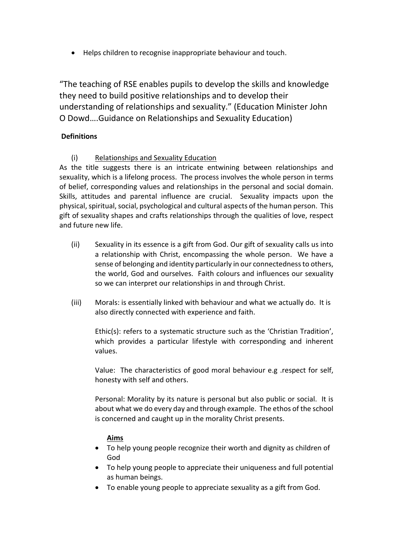Helps children to recognise inappropriate behaviour and touch.

"The teaching of RSE enables pupils to develop the skills and knowledge they need to build positive relationships and to develop their understanding of relationships and sexuality." (Education Minister John O Dowd….Guidance on Relationships and Sexuality Education)

# **Definitions**

(i) Relationships and Sexuality Education

As the title suggests there is an intricate entwining between relationships and sexuality, which is a lifelong process. The process involves the whole person in terms of belief, corresponding values and relationships in the personal and social domain. Skills, attitudes and parental influence are crucial. Sexuality impacts upon the physical, spiritual, social, psychological and cultural aspects of the human person. This gift of sexuality shapes and crafts relationships through the qualities of love, respect and future new life.

- (ii) Sexuality in its essence is a gift from God. Our gift of sexuality calls us into a relationship with Christ, encompassing the whole person. We have a sense of belonging and identity particularly in our connectedness to others, the world, God and ourselves. Faith colours and influences our sexuality so we can interpret our relationships in and through Christ.
- (iii) Morals: is essentially linked with behaviour and what we actually do. It is also directly connected with experience and faith.

Ethic(s): refers to a systematic structure such as the 'Christian Tradition', which provides a particular lifestyle with corresponding and inherent values.

Value: The characteristics of good moral behaviour e.g .respect for self, honesty with self and others.

Personal: Morality by its nature is personal but also public or social. It is about what we do every day and through example. The ethos of the school is concerned and caught up in the morality Christ presents.

# **Aims**

- To help young people recognize their worth and dignity as children of God
- To help young people to appreciate their uniqueness and full potential as human beings.
- To enable young people to appreciate sexuality as a gift from God.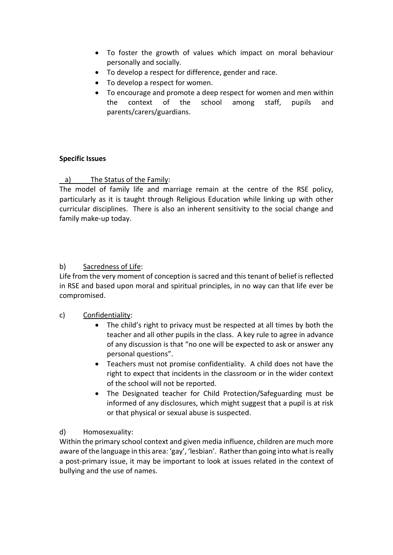- To foster the growth of values which impact on moral behaviour personally and socially.
- To develop a respect for difference, gender and race.
- To develop a respect for women.
- To encourage and promote a deep respect for women and men within the context of the school among staff, pupils and parents/carers/guardians.

#### **Specific Issues**

# a) The Status of the Family:

The model of family life and marriage remain at the centre of the RSE policy, particularly as it is taught through Religious Education while linking up with other curricular disciplines. There is also an inherent sensitivity to the social change and family make-up today.

#### b) Sacredness of Life:

Life from the very moment of conception is sacred and this tenant of belief is reflected in RSE and based upon moral and spiritual principles, in no way can that life ever be compromised.

# c) Confidentiality:

- The child's right to privacy must be respected at all times by both the teacher and all other pupils in the class. A key rule to agree in advance of any discussion is that "no one will be expected to ask or answer any personal questions".
- Teachers must not promise confidentiality. A child does not have the right to expect that incidents in the classroom or in the wider context of the school will not be reported.
- The Designated teacher for Child Protection/Safeguarding must be informed of any disclosures, which might suggest that a pupil is at risk or that physical or sexual abuse is suspected.

#### d) Homosexuality:

Within the primary school context and given media influence, children are much more aware of the language in this area: 'gay', 'lesbian'. Rather than going into what is really a post-primary issue, it may be important to look at issues related in the context of bullying and the use of names.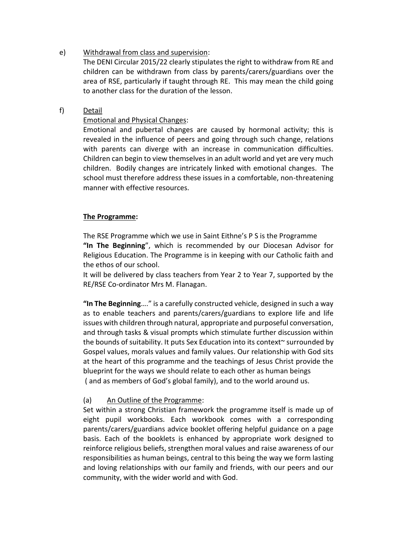# e) Withdrawal from class and supervision:

The DENI Circular 2015/22 clearly stipulates the right to withdraw from RE and children can be withdrawn from class by parents/carers/guardians over the area of RSE, particularly if taught through RE. This may mean the child going to another class for the duration of the lesson.

# f) Detail

# Emotional and Physical Changes:

Emotional and pubertal changes are caused by hormonal activity; this is revealed in the influence of peers and going through such change, relations with parents can diverge with an increase in communication difficulties. Children can begin to view themselves in an adult world and yet are very much children. Bodily changes are intricately linked with emotional changes. The school must therefore address these issues in a comfortable, non-threatening manner with effective resources.

#### **The Programme:**

The RSE Programme which we use in Saint Eithne's P S is the Programme **"In The Beginning**", which is recommended by our Diocesan Advisor for Religious Education. The Programme is in keeping with our Catholic faith and the ethos of our school.

It will be delivered by class teachers from Year 2 to Year 7, supported by the RE/RSE Co-ordinator Mrs M. Flanagan.

**"In The Beginning**…." is a carefully constructed vehicle, designed in such a way as to enable teachers and parents/carers/guardians to explore life and life issues with children through natural, appropriate and purposeful conversation, and through tasks & visual prompts which stimulate further discussion within the bounds of suitability. It puts Sex Education into its context~ surrounded by Gospel values, morals values and family values. Our relationship with God sits at the heart of this programme and the teachings of Jesus Christ provide the blueprint for the ways we should relate to each other as human beings ( and as members of God's global family), and to the world around us.

#### (a) An Outline of the Programme:

Set within a strong Christian framework the programme itself is made up of eight pupil workbooks. Each workbook comes with a corresponding parents/carers/guardians advice booklet offering helpful guidance on a page basis. Each of the booklets is enhanced by appropriate work designed to reinforce religious beliefs, strengthen moral values and raise awareness of our responsibilities as human beings, central to this being the way we form lasting and loving relationships with our family and friends, with our peers and our community, with the wider world and with God.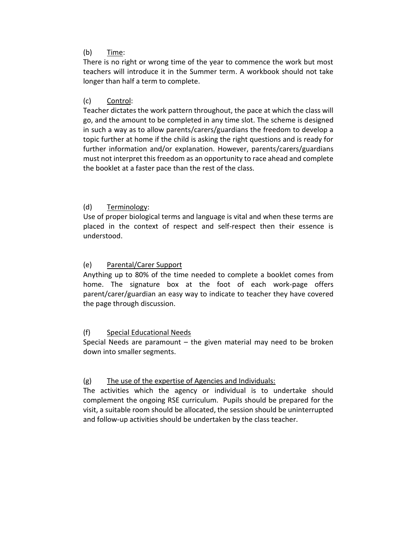#### (b) Time:

There is no right or wrong time of the year to commence the work but most teachers will introduce it in the Summer term. A workbook should not take longer than half a term to complete.

#### (c) Control:

Teacher dictates the work pattern throughout, the pace at which the class will go, and the amount to be completed in any time slot. The scheme is designed in such a way as to allow parents/carers/guardians the freedom to develop a topic further at home if the child is asking the right questions and is ready for further information and/or explanation. However, parents/carers/guardians must not interpret this freedom as an opportunity to race ahead and complete the booklet at a faster pace than the rest of the class.

#### (d) Terminology:

Use of proper biological terms and language is vital and when these terms are placed in the context of respect and self-respect then their essence is understood.

#### (e) Parental/Carer Support

Anything up to 80% of the time needed to complete a booklet comes from home. The signature box at the foot of each work-page offers parent/carer/guardian an easy way to indicate to teacher they have covered the page through discussion.

# (f) Special Educational Needs

Special Needs are paramount  $-$  the given material may need to be broken down into smaller segments.

#### (g) The use of the expertise of Agencies and Individuals:

The activities which the agency or individual is to undertake should complement the ongoing RSE curriculum. Pupils should be prepared for the visit, a suitable room should be allocated, the session should be uninterrupted and follow-up activities should be undertaken by the class teacher.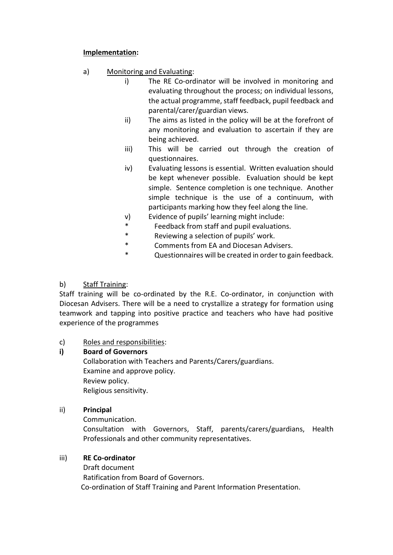# **Implementation:**

- a) Monitoring and Evaluating:
	- i) The RE Co-ordinator will be involved in monitoring and evaluating throughout the process; on individual lessons, the actual programme, staff feedback, pupil feedback and parental/carer/guardian views.
	- ii) The aims as listed in the policy will be at the forefront of any monitoring and evaluation to ascertain if they are being achieved.
	- iii) This will be carried out through the creation of questionnaires.
	- iv) Evaluating lessons is essential. Written evaluation should be kept whenever possible. Evaluation should be kept simple. Sentence completion is one technique. Another simple technique is the use of a continuum, with participants marking how they feel along the line.
	- v) Evidence of pupils' learning might include:
	- \* Feedback from staff and pupil evaluations.<br>A Reviewing a selection of numilal work
	- Reviewing a selection of pupils' work.
	- \* Comments from EA and Diocesan Advisers.
	- \* Questionnaires will be created in order to gain feedback.

# b) Staff Training:

Staff training will be co-ordinated by the R.E. Co-ordinator, in conjunction with Diocesan Advisers. There will be a need to crystallize a strategy for formation using teamwork and tapping into positive practice and teachers who have had positive experience of the programmes

# c) Roles and responsibilities:

# **i) Board of Governors**

Collaboration with Teachers and Parents/Carers/guardians. Examine and approve policy. Review policy. Religious sensitivity.

# ii) **Principal**

Communication. Consultation with Governors, Staff, parents/carers/guardians, Health Professionals and other community representatives.

# iii) **RE Co-ordinator**

Draft document Ratification from Board of Governors. Co-ordination of Staff Training and Parent Information Presentation.